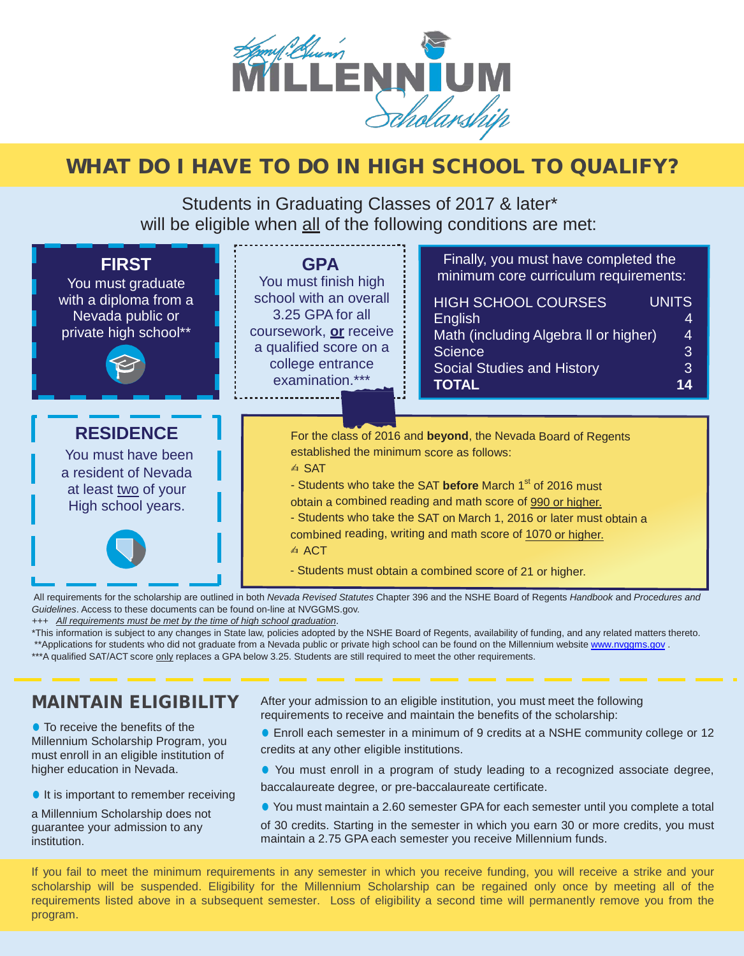

# WHAT DO I HAVE TO DO IN HIGH SCHOOL TO QUALIFY?

Students in Graduating Classes of 2017 & later\* will be eligible when all of the following conditions are met:

| <b>FIRST</b><br>You must graduate<br>with a diploma from a<br>Nevada public or<br>private high school**      | <b>GPA</b><br>You must finish high<br>school with an overall<br>3.25 GPA for all<br>coursework, or receive<br>a qualified score on a<br>college entrance<br>examination.*** | Finally, you must have completed the<br>minimum core curriculum requirements:<br><b>HIGH SCHOOL COURSES</b><br><b>UNITS</b><br>English<br>Math (including Algebra II or higher)<br>4<br>3<br><b>Science</b><br>3<br><b>Social Studies and History</b><br><b>TOTAL</b><br>14                                                                                                                            |
|--------------------------------------------------------------------------------------------------------------|-----------------------------------------------------------------------------------------------------------------------------------------------------------------------------|--------------------------------------------------------------------------------------------------------------------------------------------------------------------------------------------------------------------------------------------------------------------------------------------------------------------------------------------------------------------------------------------------------|
| <b>RESIDENCE</b><br>You must have been<br>a resident of Nevada<br>at least two of your<br>High school years. | established the minimum score as follows:<br><b>△ SAT</b><br><b>△△ ACT</b>                                                                                                  | For the class of 2016 and beyond, the Nevada Board of Regents<br>- Students who take the SAT before March 1 <sup>st</sup> of 2016 must<br>obtain a combined reading and math score of 990 or higher.<br>- Students who take the SAT on March 1, 2016 or later must obtain a<br>combined reading, writing and math score of 1070 or higher.<br>- Students must obtain a combined score of 21 or higher. |

 All requirements for the scholarship are outlined in both *Nevada Revised Statutes* Chapter 396 and the NSHE Board of Regents *Handbook* and *Procedures and Guidelines*. Access to these documents can be found on-line at NVGGMS.gov.

*+++ All requirements must be met by the time of high school graduation*.

\*This information is subject to any changes in State law, policies adopted by the NSHE Board of Regents, availability of funding, and any related matters thereto. \*\*Applications for students who did not graduate from a Nevada public or private high school can be found on the Millennium websit[e www.nvggms.gov](http://www.nvggms.gov/). \*\*\*A qualified SAT/ACT score only replaces a GPA below 3.25. Students are still required to meet the other requirements.

### MAINTAIN ELIGIBILITY

● To receive the benefits of the Millennium Scholarship Program, you must enroll in an eligible institution of higher education in Nevada.

● It is important to remember receiving

a Millennium Scholarship does not guarantee your admission to any institution.

After your admission to an eligible institution, you must meet the following requirements to receive and maintain the benefits of the scholarship:

- Enroll each semester in a minimum of 9 credits at a NSHE community college or 12 credits at any other eligible institutions.
- You must enroll in a program of study leading to a recognized associate degree, baccalaureate degree, or pre-baccalaureate certificate.
- You must maintain a 2.60 semester GPA for each semester until you complete a total

of 30 credits. Starting in the semester in which you earn 30 or more credits, you must maintain a 2.75 GPA each semester you receive Millennium funds.

If you fail to meet the minimum requirements in any semester in which you receive funding, you will receive a strike and your scholarship will be suspended. Eligibility for the Millennium Scholarship can be regained only once by meeting all of the requirements listed above in a subsequent semester. Loss of eligibility a second time will permanently remove you from the program.